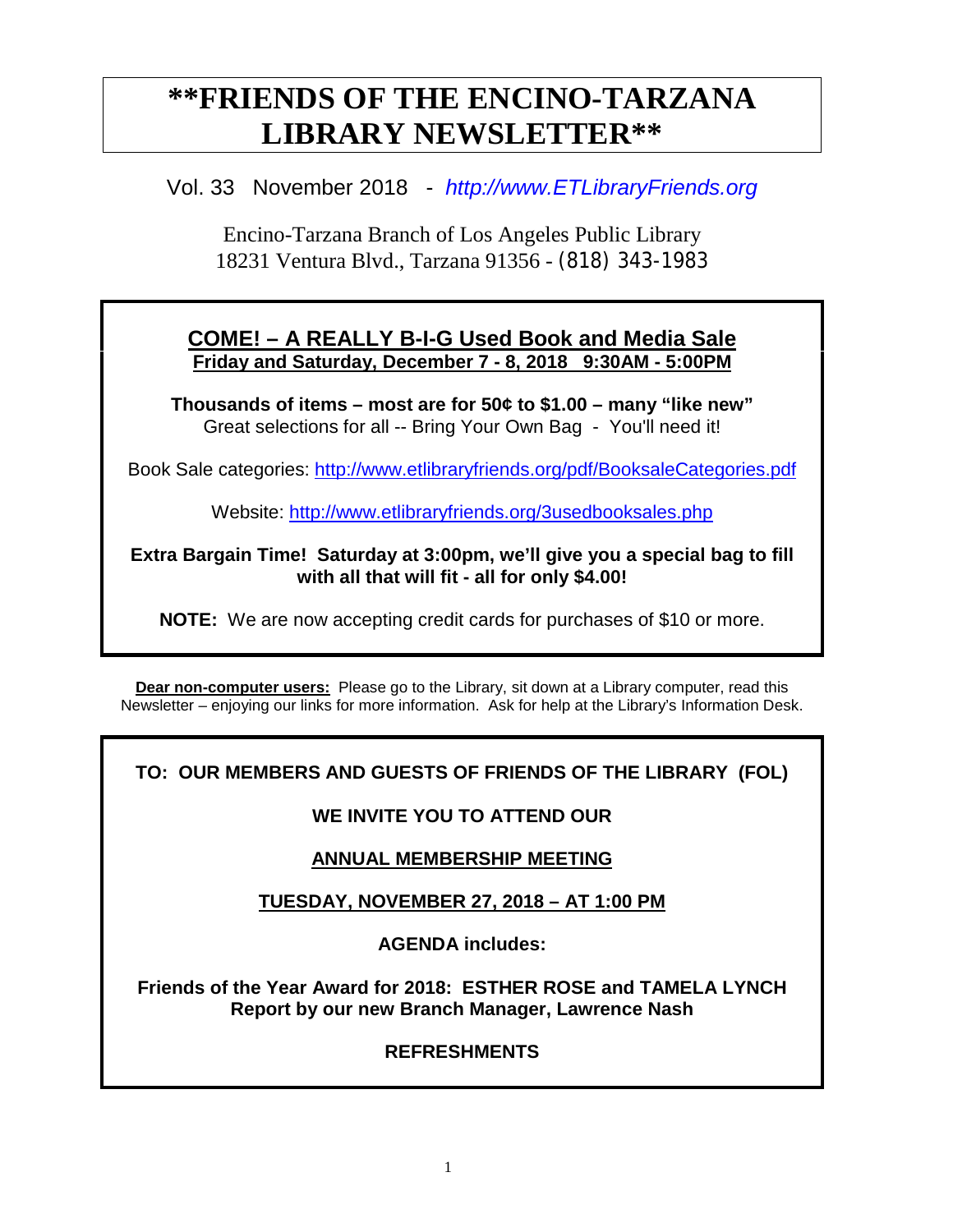# **\*\*FRIENDS OF THE ENCINO-TARZANA LIBRARY NEWSLETTER\*\***

### Vol. 33 November 2018 - *http://www.ETLibraryFriends.org*

Encino-Tarzana Branch of Los Angeles Public Library 18231 Ventura Blvd., Tarzana 91356 - (818) 343-1983

#### **COME! – A REALLY B-I-G Used Book and Media Sale Friday and Saturday, December 7 - 8, 2018 9:30AM - 5:00PM**

**Thousands of items – most are for 50¢ to \$1.00 – many "like new"** Great selections for all -- Bring Your Own Bag - You'll need it!

Book Sale categories: <http://www.etlibraryfriends.org/pdf/BooksaleCategories.pdf>

Website: <http://www.etlibraryfriends.org/3usedbooksales.php>

#### **Extra Bargain Time! Saturday at 3:00pm, we'll give you a special bag to fill with all that will fit - all for only \$4.00!**

**NOTE:** We are now accepting credit cards for purchases of \$10 or more.

**Dear non-computer users:** Please go to the Library, sit down at a Library computer, read this Newsletter – enjoying our links for more information. Ask for help at the Library's Information Desk.

### **TO: OUR MEMBERS AND GUESTS OF FRIENDS OF THE LIBRARY (FOL)**

#### **WE INVITE YOU TO ATTEND OUR**

### **ANNUAL MEMBERSHIP MEETING**

### **TUESDAY, NOVEMBER 27, 2018 – AT 1:00 PM**

**AGENDA includes:**

**Friends of the Year Award for 2018: ESTHER ROSE and TAMELA LYNCH Report by our new Branch Manager, Lawrence Nash**

#### **REFRESHMENTS**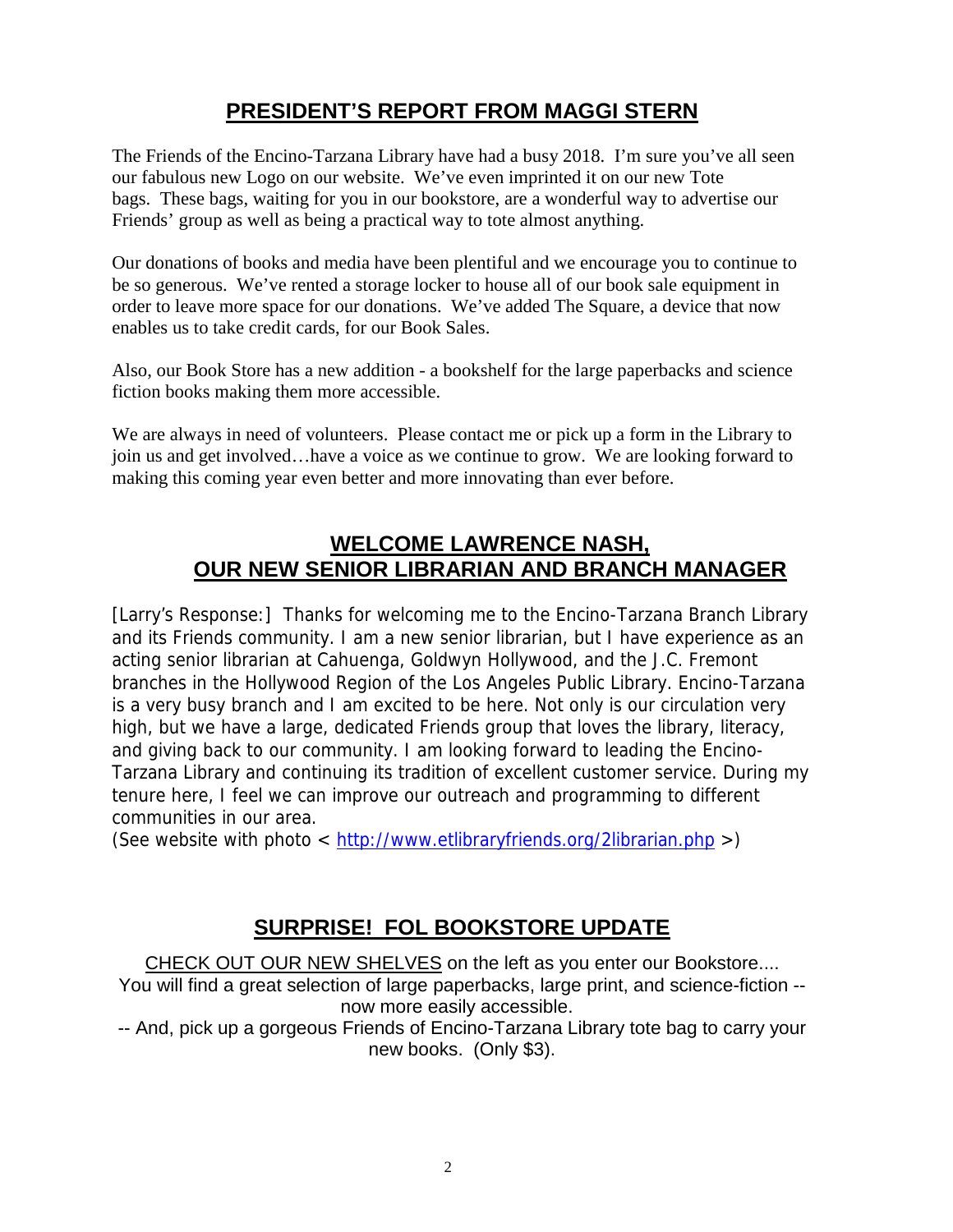# **PRESIDENT'S REPORT FROM MAGGI STERN**

The Friends of the Encino-Tarzana Library have had a busy 2018. I'm sure you've all seen our fabulous new Logo on our website. We've even imprinted it on our new Tote bags. These bags, waiting for you in our bookstore, are a wonderful way to advertise our Friends' group as well as being a practical way to tote almost anything.

Our donations of books and media have been plentiful and we encourage you to continue to be so generous. We've rented a storage locker to house all of our book sale equipment in order to leave more space for our donations. We've added The Square, a device that now enables us to take credit cards, for our Book Sales.

Also, our Book Store has a new addition - a bookshelf for the large paperbacks and science fiction books making them more accessible.

We are always in need of volunteers. Please contact me or pick up a form in the Library to join us and get involved…have a voice as we continue to grow. We are looking forward to making this coming year even better and more innovating than ever before.

### **WELCOME LAWRENCE NASH, OUR NEW SENIOR LIBRARIAN AND BRANCH MANAGER**

[Larry's Response:] Thanks for welcoming me to the Encino-Tarzana Branch Library and its Friends community. I am a new senior librarian, but I have experience as an acting senior librarian at Cahuenga, Goldwyn Hollywood, and the J.C. Fremont branches in the Hollywood Region of the Los Angeles Public Library. Encino-Tarzana is a very busy branch and I am excited to be here. Not only is our circulation very high, but we have a large, dedicated Friends group that loves the library, literacy, and giving back to our community. I am looking forward to leading the Encino-Tarzana Library and continuing its tradition of excellent customer service. During my tenure here, I feel we can improve our outreach and programming to different communities in our area.

(See website with photo <<http://www.etlibraryfriends.org/2librarian.php>>)

# **SURPRISE! FOL BOOKSTORE UPDATE**

CHECK OUT OUR NEW SHELVES on the left as you enter our Bookstore.... You will find a great selection of large paperbacks, large print, and science-fiction -now more easily accessible.

-- And, pick up a gorgeous Friends of Encino-Tarzana Library tote bag to carry your new books. (Only \$3).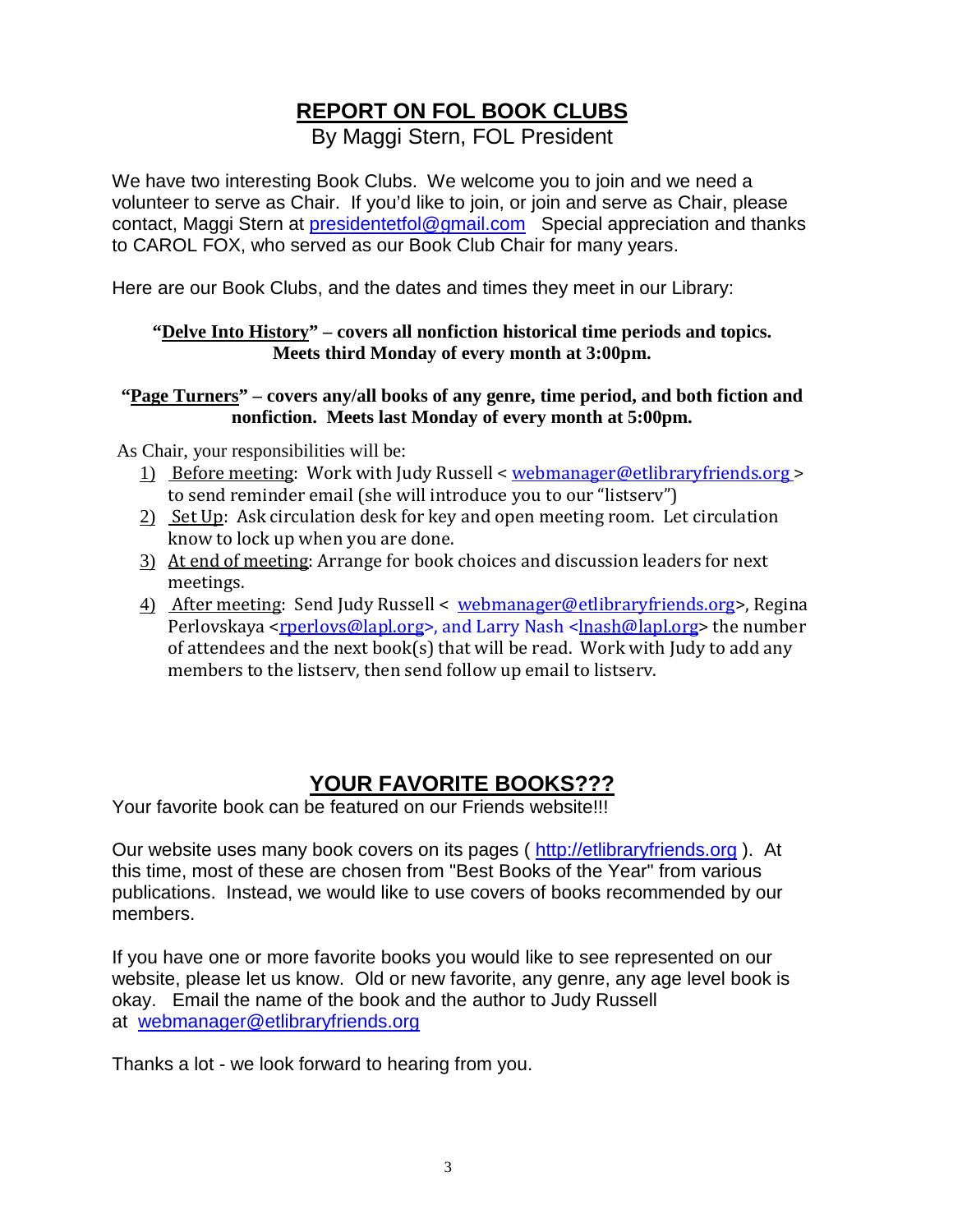# **REPORT ON FOL BOOK CLUBS**

By Maggi Stern, FOL President

We have two interesting Book Clubs. We welcome you to join and we need a volunteer to serve as Chair. If you'd like to join, or join and serve as Chair, please contact, Maggi Stern at [presidentetfol@gmail.com](mailto:presidentetfol@gmail.com) Special appreciation and thanks to CAROL FOX, who served as our Book Club Chair for many years.

Here are our Book Clubs, and the dates and times they meet in our Library:

#### **"Delve Into History" – covers all nonfiction historical time periods and topics. Meets third Monday of every month at 3:00pm.**

#### **"Page Turners" – covers any/all books of any genre, time period, and both fiction and nonfiction. Meets last Monday of every month at 5:00pm.**

As Chair, your responsibilities will be:

- 1) Before meeting: Work with Judy Russell < [webmanager@etlibraryfriends.org](mailto:webmanager@etlibraryfriends.org) > to send reminder email (she will introduce you to our "listserv")
- 2) Set Up: Ask circulation desk for key and open meeting room. Let circulation know to lock up when you are done.
- 3) At end of meeting: Arrange for book choices and discussion leaders for next meetings.
- 4) After meeting: Send Judy Russell < [webmanager@etlibraryfriends.org>](mailto:webmanager@etlibraryfriends.org), Regina Perlovskaya [<rperlovs@lapl.org>](mailto:rperlovs@lapl.org), and Larry Nash [<lnash@lapl.org>](mailto:lnash@lapl.org) the number of attendees and the next book(s) that will be read. Work with Judy to add any members to the listserv, then send follow up email to listserv.

# **YOUR FAVORITE BOOKS???**

Your favorite book can be featured on our Friends website!!!

Our website uses many book covers on its pages ( [http://etlibraryfriends.org](http://etlibraryfriends.org/) ). At this time, most of these are chosen from "Best Books of the Year" from various publications. Instead, we would like to use covers of books recommended by our members.

If you have one or more favorite books you would like to see represented on our website, please let us know. Old or new favorite, any genre, any age level book is okay. Email the name of the book and the author to Judy Russell at [webmanager@etlibraryfriends.org](mailto:webmanager@etlibraryfriends.org) 

Thanks a lot - we look forward to hearing from you.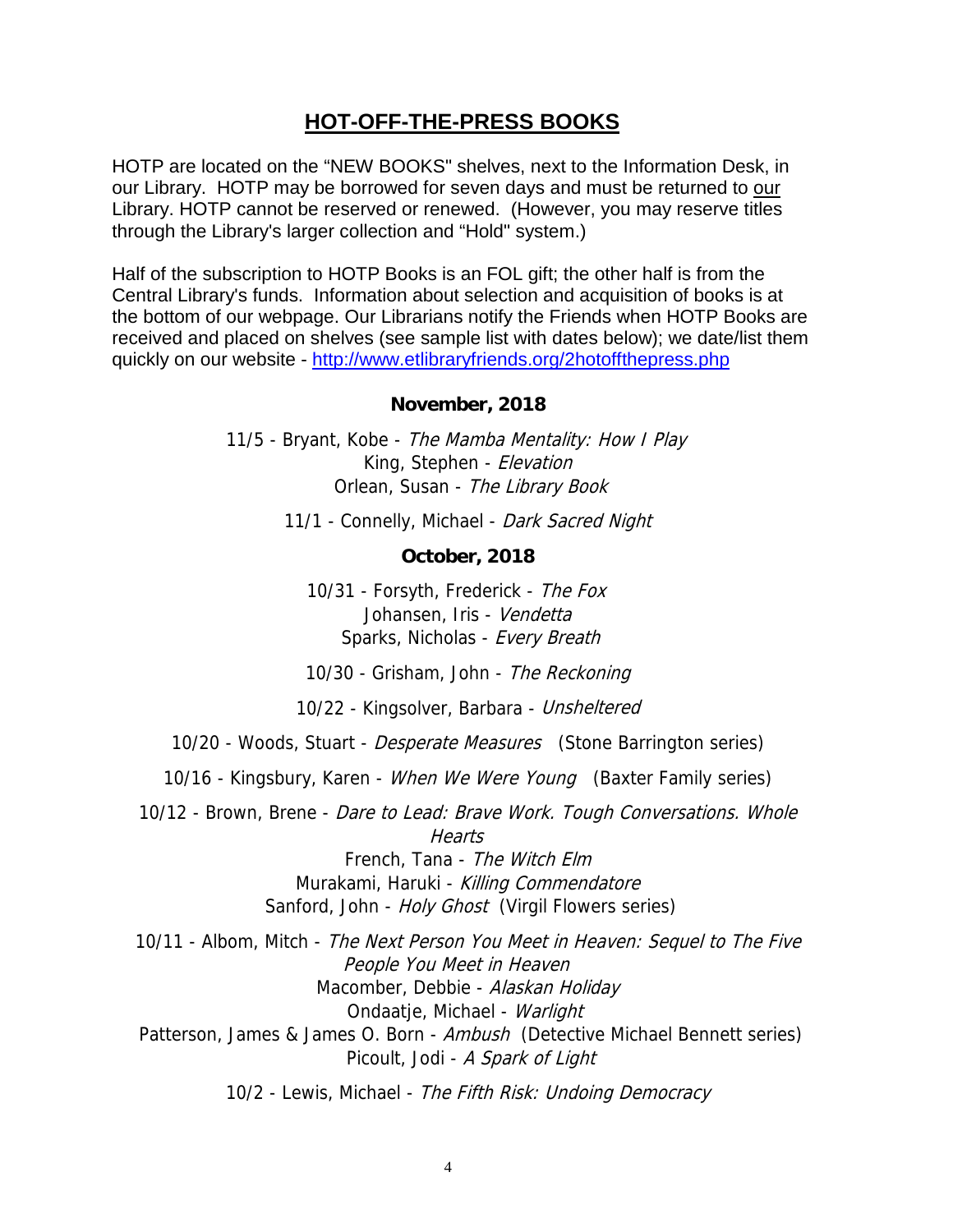### **HOT-OFF-THE-PRESS BOOKS**

HOTP are located on the "NEW BOOKS" shelves, next to the Information Desk, in our Library. HOTP may be borrowed for seven days and must be returned to our Library. HOTP cannot be reserved or renewed. (However, you may reserve titles through the Library's larger collection and "Hold" system.)

Half of the subscription to HOTP Books is an FOL gift; the other half is from the Central Library's funds. Information about selection and acquisition of books is at the bottom of our webpage. Our Librarians notify the Friends when HOTP Books are received and placed on shelves (see sample list with dates below); we date/list them quickly on our website -<http://www.etlibraryfriends.org/2hotoffthepress.php>

#### **November, 2018**

11/5 - Bryant, Kobe - The Mamba Mentality: How I Play King, Stephen - Elevation Orlean, Susan - The Library Book

11/1 - Connelly, Michael - Dark Sacred Night

#### **October, 2018**

10/31 - Forsyth, Frederick - The Fox Johansen, Iris - Vendetta Sparks, Nicholas - Every Breath

10/30 - Grisham, John - The Reckoning

10/22 - Kingsolver, Barbara - Unsheltered

10/20 - Woods, Stuart - *Desperate Measures* (Stone Barrington series)

10/16 - Kingsbury, Karen - *When We Were Young* (Baxter Family series)

10/12 - Brown, Brene - *Dare to Lead: Brave Work. Tough Conversations. Whole* **Hearts** 

> French, Tana - The Witch Elm Murakami, Haruki - Killing Commendatore Sanford, John - Holy Ghost (Virgil Flowers series)

10/11 - Albom, Mitch - The Next Person You Meet in Heaven: Sequel to The Five People You Meet in Heaven Macomber, Debbie - Alaskan Holiday Ondaatje, Michael - Warlight Patterson, James & James O. Born - Ambush (Detective Michael Bennett series) Picoult, Jodi - A Spark of Light

10/2 - Lewis, Michael - The Fifth Risk: Undoing Democracy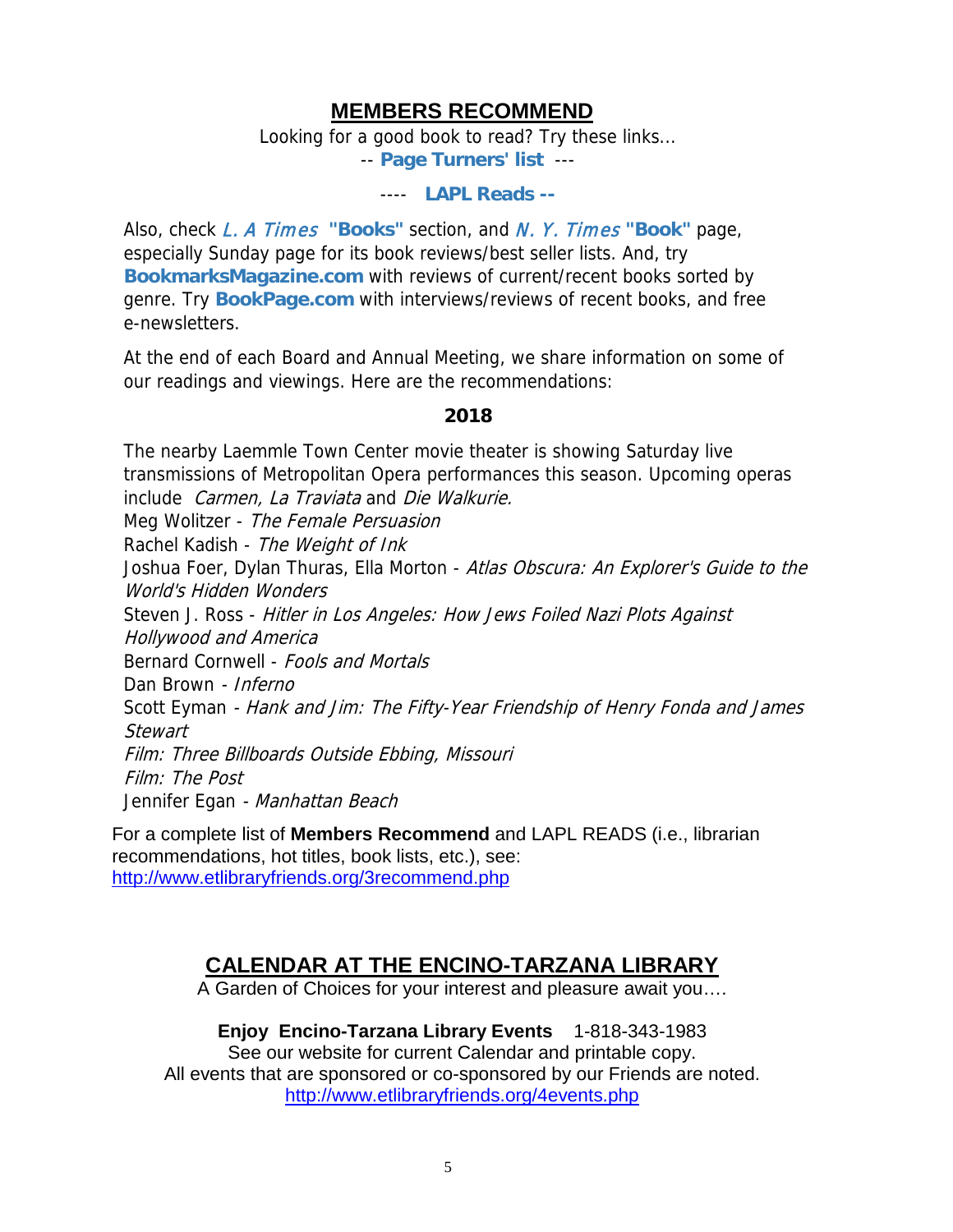### **MEMBERS RECOMMEND**

Looking for a good book to read? Try these links...

-- **[Page Turners' list](http://www.etlibraryfriends.org/3bookclub.php)** ---

#### ---- **[LAPL Reads](http://www.lapl.org/collections-resources/lapl-reads) --**

Also, check L. A Times **["Books"](http://www.latimes.com/books/)** section, and [N. Y. Times](http://www.nytimes.com/pages/books/index.html) **"Book"** page, especially Sunday page for its book reviews/best seller lists. And, try **[BookmarksMagazine.com](http://www.bookmarksmagazine.com/)** with reviews of current/recent books sorted by genre. Try **[BookPage.com](http://bookpage.com/)** with interviews/reviews of recent books, and free e-newsletters.

At the end of each Board and Annual Meeting, we share information on some of our readings and viewings. Here are the recommendations:

#### **2018**

The nearby Laemmle Town Center movie theater is showing Saturday live transmissions of Metropolitan Opera performances this season. Upcoming operas include Carmen, La Traviata and Die Walkurie. Meg Wolitzer - The Female Persuasion Rachel Kadish - The Weight of Ink Joshua Foer, Dylan Thuras, Ella Morton - Atlas Obscura: An Explorer's Guide to the World's Hidden Wonders Steven J. Ross - Hitler in Los Angeles: How Jews Foiled Nazi Plots Against Hollywood and America Bernard Cornwell - Fools and Mortals Dan Brown - Inferno Scott Eyman - Hank and Jim: The Fifty-Year Friendship of Henry Fonda and James **Stewart** Film: Three Billboards Outside Ebbing, Missouri Film: The Post Jennifer Egan - Manhattan Beach

For a complete list of **Members Recommend** and LAPL READS (i.e., librarian recommendations, hot titles, book lists, etc.), see: <http://www.etlibraryfriends.org/3recommend.php>

# **CALENDAR AT THE ENCINO-TARZANA LIBRARY**

A Garden of Choices for your interest and pleasure await you….

#### **Enjoy Encino-Tarzana Library Events** 1-818-343-1983

See our website for current Calendar and printable copy. All events that are sponsored or co-sponsored by our Friends are noted. <http://www.etlibraryfriends.org/4events.php>